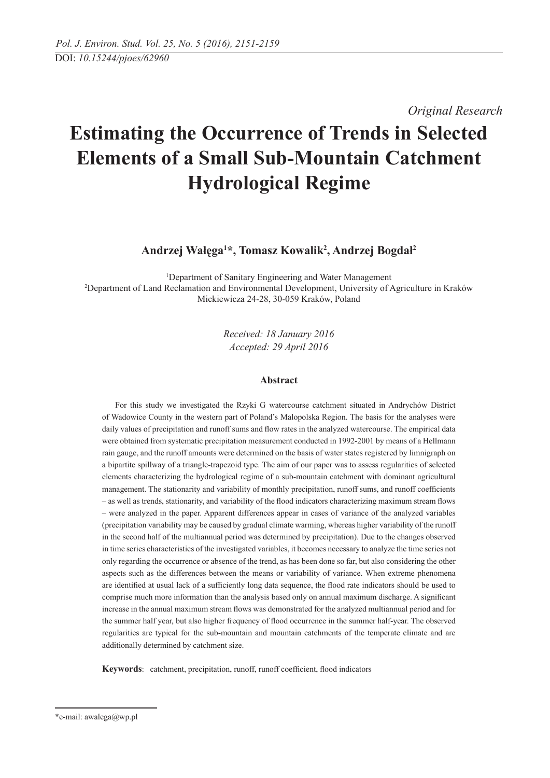*Original Research* 

# **Estimating the Occurrence of Trends in Selected Elements of a Small Sub-Mountain Catchment Hydrological Regime**

**Andrzej Wałęga1 \*, Tomasz Kowalik2 , Andrzej Bogdał2**

<sup>1</sup>Department of Sanitary Engineering and Water Management Department of Sanitary Engineering and Water Management 2 Department of Land Reclamation and Environmental Development, University of Agriculture in Kraków Mickiewicza 24-28, 30-059 Kraków, Poland

> *Received: 18 January 2016 Accepted: 29 April 2016*

## **Abstract**

For this study we investigated the Rzyki G watercourse catchment situated in Andrychów District of Wadowice County in the western part of Poland's Malopolska Region. The basis for the analyses were daily values of precipitation and runoff sums and flow rates in the analyzed watercourse. The empirical data were obtained from systematic precipitation measurement conducted in 1992-2001 by means of a Hellmann rain gauge, and the runoff amounts were determined on the basis of water states registered by limnigraph on a bipartite spillway of a triangle-trapezoid type. The aim of our paper was to assess regularities of selected elements characterizing the hydrological regime of a sub-mountain catchment with dominant agricultural management. The stationarity and variability of monthly precipitation, runoff sums, and runoff coefficients – as well as trends, stationarity, and variability of the flood indicators characterizing maximum stream flows – were analyzed in the paper. Apparent differences appear in cases of variance of the analyzed variables (precipitation variability may be caused by gradual climate warming, whereas higher variability of the runoff in the second half of the multiannual period was determined by precipitation). Due to the changes observed in time series characteristics of the investigated variables, it becomes necessary to analyze the time series not only regarding the occurrence or absence of the trend, as has been done so far, but also considering the other aspects such as the differences between the means or variability of variance. When extreme phenomena are identified at usual lack of a sufficiently long data sequence, the flood rate indicators should be used to comprise much more information than the analysis based only on annual maximum discharge. A significant increase in the annual maximum stream flows was demonstrated for the analyzed multiannual period and for the summer half year, but also higher frequency of flood occurrence in the summer half-year. The observed regularities are typical for the sub-mountain and mountain catchments of the temperate climate and are additionally determined by catchment size.

**Keywords**: catchment, precipitation, runoff, runoff coefficient, flood indicators

<sup>\*</sup>e-mail: awalega@wp.pl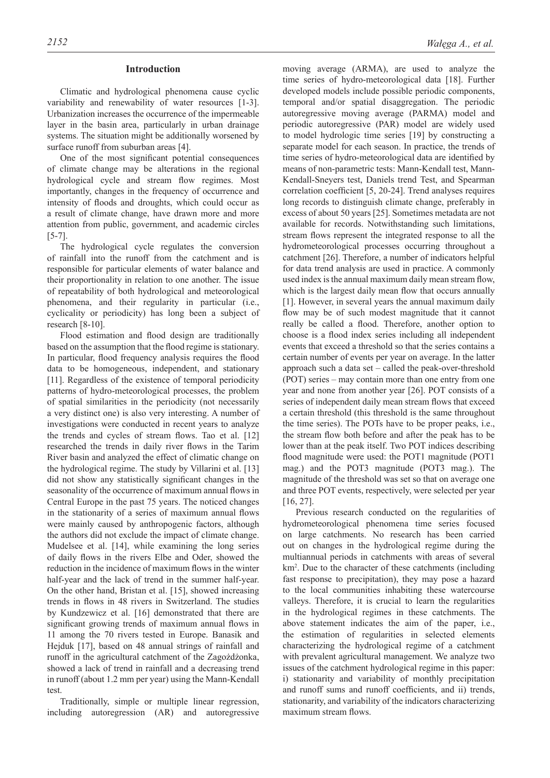## **Introduction**

Climatic and hydrological phenomena cause cyclic variability and renewability of water resources [1-3]. Urbanization increases the occurrence of the impermeable layer in the basin area, particularly in urban drainage systems. The situation might be additionally worsened by surface runoff from suburban areas [4].

One of the most significant potential consequences of climate change may be alterations in the regional hydrological cycle and stream flow regimes. Most importantly, changes in the frequency of occurrence and intensity of floods and droughts, which could occur as a result of climate change, have drawn more and more attention from public, government, and academic circles [5-7].

The hydrological cycle regulates the conversion of rainfall into the runoff from the catchment and is responsible for particular elements of water balance and their proportionality in relation to one another. The issue of repeatability of both hydrological and meteorological phenomena, and their regularity in particular (i.e., cyclicality or periodicity) has long been a subject of research [8-10].

Flood estimation and flood design are traditionally based on the assumption that the flood regime is stationary. In particular, flood frequency analysis requires the flood data to be homogeneous, independent, and stationary [11]. Regardless of the existence of temporal periodicity patterns of hydro-meteorological processes, the problem of spatial similarities in the periodicity (not necessarily a very distinct one) is also very interesting. A number of investigations were conducted in recent years to analyze the trends and cycles of stream flows. Tao et al. [12] researched the trends in daily river flows in the Tarim River basin and analyzed the effect of climatic change on the hydrological regime. The study by Villarini et al. [13] did not show any statistically significant changes in the seasonality of the occurrence of maximum annual flows in Central Europe in the past 75 years. The noticed changes in the stationarity of a series of maximum annual flows were mainly caused by anthropogenic factors, although the authors did not exclude the impact of climate change. Mudelsee et al. [14], while examining the long series of daily flows in the rivers Elbe and Oder, showed the reduction in the incidence of maximum flows in the winter half-year and the lack of trend in the summer half-year. On the other hand, Bristan et al. [15], showed increasing trends in flows in 48 rivers in Switzerland. The studies by Kundzewicz et al. [16] demonstrated that there are significant growing trends of maximum annual flows in 11 among the 70 rivers tested in Europe. Banasik and Hejduk [17], based on 48 annual strings of rainfall and runoff in the agricultural catchment of the Zagożdżonka, showed a lack of trend in rainfall and a decreasing trend in runoff (about 1.2 mm per year) using the Mann-Kendall test.

Traditionally, simple or multiple linear regression, including autoregression (AR) and autoregressive moving average (ARMA), are used to analyze the time series of hydro-meteorological data [18]. Further developed models include possible periodic components, temporal and/or spatial disaggregation. The periodic autoregressive moving average (PARMA) model and periodic autoregressive (PAR) model are widely used to model hydrologic time series [19] by constructing a separate model for each season. In practice, the trends of time series of hydro-meteorological data are identified by means of non-parametric tests: Mann-Kendall test, Mann-Kendall-Sneyers test, Daniels trend Test, and Spearman correlation coefficient [5, 20-24]. Trend analyses requires long records to distinguish climate change, preferably in excess of about 50 years [25]. Sometimes metadata are not available for records. Notwithstanding such limitations, stream flows represent the integrated response to all the hydrometeorological processes occurring throughout a catchment [26]. Therefore, a number of indicators helpful for data trend analysis are used in practice. A commonly used index is the annual maximum daily mean stream flow, which is the largest daily mean flow that occurs annually [1]. However, in several years the annual maximum daily flow may be of such modest magnitude that it cannot really be called a flood. Therefore, another option to choose is a flood index series including all independent events that exceed a threshold so that the series contains a certain number of events per year on average. In the latter approach such a data set – called the peak-over-threshold (POT) series – may contain more than one entry from one year and none from another year [26]. POT consists of a series of independent daily mean stream flows that exceed a certain threshold (this threshold is the same throughout the time series). The POTs have to be proper peaks, i.e., the stream flow both before and after the peak has to be lower than at the peak itself. Two POT indices describing flood magnitude were used: the POT1 magnitude (POT1 mag.) and the POT3 magnitude (POT3 mag.). The magnitude of the threshold was set so that on average one and three POT events, respectively, were selected per year [16, 27].

Previous research conducted on the regularities of hydrometeorological phenomena time series focused on large catchments. No research has been carried out on changes in the hydrological regime during the multiannual periods in catchments with areas of several km2 . Due to the character of these catchments (including fast response to precipitation), they may pose a hazard to the local communities inhabiting these watercourse valleys. Therefore, it is crucial to learn the regularities in the hydrological regimes in these catchments. The above statement indicates the aim of the paper, i.e., the estimation of regularities in selected elements characterizing the hydrological regime of a catchment with prevalent agricultural management. We analyze two issues of the catchment hydrological regime in this paper: i) stationarity and variability of monthly precipitation and runoff sums and runoff coefficients, and ii) trends, stationarity, and variability of the indicators characterizing maximum stream flows.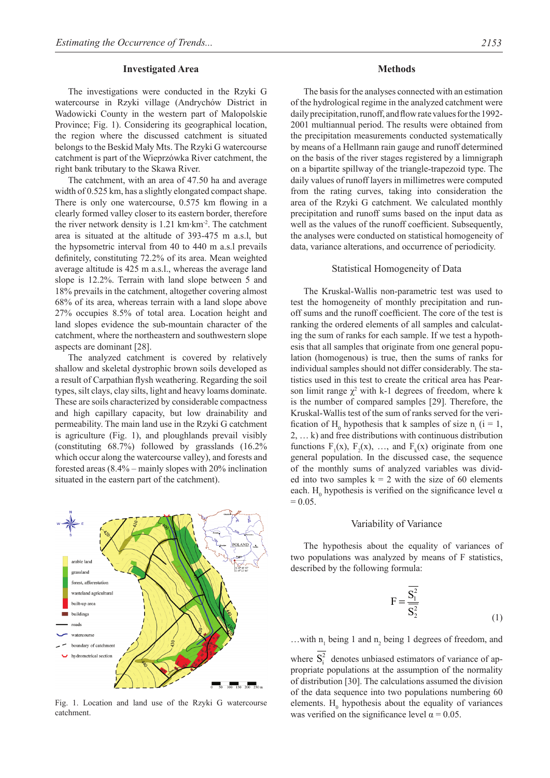#### **Investigated Area**

The investigations were conducted in the Rzyki G watercourse in Rzyki village (Andrychów District in Wadowicki County in the western part of Malopolskie Province; Fig. 1). Considering its geographical location, the region where the discussed catchment is situated belongs to the Beskid Mały Mts. The Rzyki G watercourse catchment is part of the Wieprzówka River catchment, the right bank tributary to the Skawa River.

The catchment, with an area of 47.50 ha and average width of 0.525 km, has a slightly elongated compact shape. There is only one watercourse, 0.575 km flowing in a clearly formed valley closer to its eastern border, therefore the river network density is  $1.21 \text{ km} \cdot \text{km}^2$ . The catchment area is situated at the altitude of 393-475 m a.s.l, but the hypsometric interval from 40 to 440 m a.s.l prevails definitely, constituting 72.2% of its area. Mean weighted average altitude is 425 m a.s.l., whereas the average land slope is 12.2%. Terrain with land slope between 5 and 18% prevails in the catchment, altogether covering almost 68% of its area, whereas terrain with a land slope above 27% occupies 8.5% of total area. Location height and land slopes evidence the sub-mountain character of the catchment, where the northeastern and southwestern slope aspects are dominant [28].

The analyzed catchment is covered by relatively shallow and skeletal dystrophic brown soils developed as a result of Carpathian flysh weathering. Regarding the soil types, silt clays, clay silts, light and heavy loams dominate. These are soils characterized by considerable compactness and high capillary capacity, but low drainability and permeability. The main land use in the Rzyki G catchment is agriculture (Fig. 1), and ploughlands prevail visibly (constituting 68.7%) followed by grasslands (16.2% which occur along the watercourse valley), and forests and forested areas (8.4% – mainly slopes with 20% inclination situated in the eastern part of the catchment).



Fig. 1. Location and land use of the Rzyki G watercourse catchment.

The basis for the analyses connected with an estimation of the hydrological regime in the analyzed catchment were daily precipitation, runoff, and flow rate values for the 1992- 2001 multiannual period. The results were obtained from the precipitation measurements conducted systematically by means of a Hellmann rain gauge and runoff determined on the basis of the river stages registered by a limnigraph on a bipartite spillway of the triangle-trapezoid type. The daily values of runoff layers in millimetres were computed from the rating curves, taking into consideration the area of the Rzyki G catchment. We calculated monthly precipitation and runoff sums based on the input data as well as the values of the runoff coefficient. Subsequently, the analyses were conducted on statistical homogeneity of data, variance alterations, and occurrence of periodicity.

## Statistical Homogeneity of Data

The Kruskal-Wallis non-parametric test was used to test the homogeneity of monthly precipitation and runoff sums and the runoff coefficient. The core of the test is ranking the ordered elements of all samples and calculating the sum of ranks for each sample. If we test a hypothesis that all samples that originate from one general population (homogenous) is true, then the sums of ranks for individual samples should not differ considerably. The statistics used in this test to create the critical area has Pearson limit range  $\chi^2$  with k-1 degrees of freedom, where k is the number of compared samples [29]. Therefore, the Kruskal-Wallis test of the sum of ranks served for the verification of H<sub>0</sub> hypothesis that k samples of size  $n_i$  (i = 1, 2, … k) and free distributions with continuous distribution functions  $F_1(x)$ ,  $F_2(x)$ , ..., and  $F_k(x)$  originate from one general population. In the discussed case, the sequence of the monthly sums of analyzed variables was divided into two samples  $k = 2$  with the size of 60 elements each. H<sub>0</sub> hypothesis is verified on the significance level  $\alpha$  $= 0.05.$ 

## Variability of Variance

The hypothesis about the equality of variances of two populations was analyzed by means of F statistics, described by the following formula:

$$
F = \frac{\overline{S_1^2}}{\overline{S_2^2}}
$$
 (1)

...with  $n_1$  being 1 and  $n_2$  being 1 degrees of freedom, and

where  $S_i^2$  denotes unbiased estimators of variance of appropriate populations at the assumption of the normality of distribution [30]. The calculations assumed the division of the data sequence into two populations numbering 60 elements.  $H_0$  hypothesis about the equality of variances was verified on the significance level  $\alpha = 0.05$ .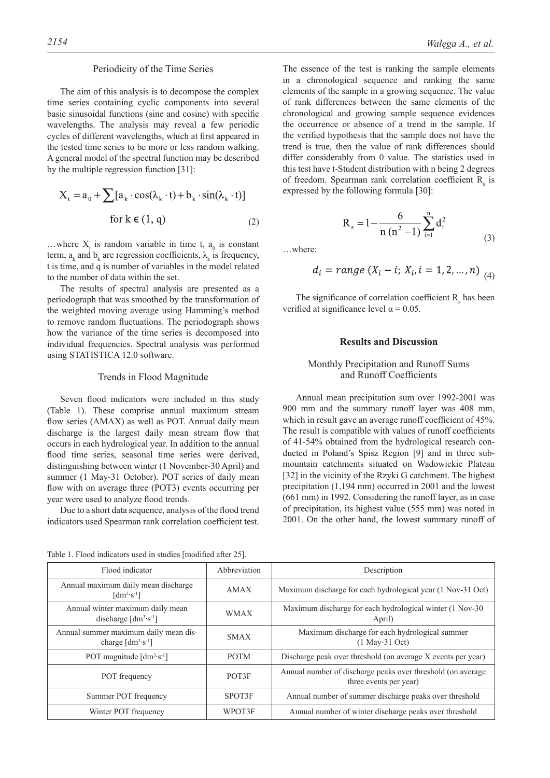#### Periodicity of the Time Series

The aim of this analysis is to decompose the complex time series containing cyclic components into several basic sinusoidal functions (sine and cosine) with specific wavelengths. The analysis may reveal a few periodic cycles of different wavelengths, which at first appeared in the tested time series to be more or less random walking. A general model of the spectral function may be described by the multiple regression function [31]:

$$
X_{t} = a_{0} + \sum [a_{k} \cdot \cos(\lambda_{k} \cdot t) + b_{k} \cdot \sin(\lambda_{k} \cdot t)]
$$
  
for k \in (1, q) (2)

...where  $X_t$  is random variable in time t,  $a_0$  is constant term,  $a_k$  and  $b_k$  are regression coefficients,  $\lambda_k$  is frequency, t is time, and q is number of variables in the model related to the number of data within the set.

The results of spectral analysis are presented as a periodograph that was smoothed by the transformation of the weighted moving average using Hamming's method to remove random fluctuations. The periodograph shows how the variance of the time series is decomposed into individual frequencies. Spectral analysis was performed using STATISTICA 12.0 software.

#### Trends in Flood Magnitude

Seven flood indicators were included in this study (Table 1). These comprise annual maximum stream flow series (AMAX) as well as POT. Annual daily mean discharge is the largest daily mean stream flow that occurs in each hydrological year. In addition to the annual flood time series, seasonal time series were derived, distinguishing between winter (1 November-30 April) and summer (1 May-31 October). POT series of daily mean flow with on average three (POT3) events occurring per year were used to analyze flood trends.

Due to a short data sequence, analysis of the flood trend indicators used Spearman rank correlation coefficient test.

Table 1. Flood indicators used in studies [modified after 25].

The essence of the test is ranking the sample elements in a chronological sequence and ranking the same elements of the sample in a growing sequence. The value of rank differences between the same elements of the chronological and growing sample sequence evidences the occurrence or absence of a trend in the sample. If the verified hypothesis that the sample does not have the trend is true, then the value of rank differences should differ considerably from 0 value. The statistics used in this test have t-Student distribution with n being 2 degrees of freedom. Spearman rank correlation coefficient  $R_s$  is expressed by the following formula [30]:

$$
R_s = 1 - \frac{6}{n (n^2 - 1)} \sum_{i=1}^{n} d_i^2
$$
 (3)

…where:

$$
d_i = range (X_i - i; X_i, i = 1, 2, ..., n) \tag{4}
$$

The significance of correlation coefficient  $R_s$  has been verified at significance level  $\alpha$  = 0.05.

#### **Results and Discussion**

## Monthly Precipitation and Runoff Sums and Runoff Coefficients

Annual mean precipitation sum over 1992-2001 was 900 mm and the summary runoff layer was 408 mm, which in result gave an average runoff coefficient of 45%. The result is compatible with values of runoff coefficients of 41-54% obtained from the hydrological research conducted in Poland's Spisz Region [9] and in three submountain catchments situated on Wadowickie Plateau [32] in the vicinity of the Rzyki G catchment. The highest precipitation (1,194 mm) occurred in 2001 and the lowest (661 mm) in 1992. Considering the runoff layer, as in case of precipitation, its highest value (555 mm) was noted in 2001. On the other hand, the lowest summary runoff of

| Flood indicator                                                          | Abbreviation | Description                                                                           |  |  |
|--------------------------------------------------------------------------|--------------|---------------------------------------------------------------------------------------|--|--|
| Annual maximum daily mean discharge<br>$\lceil dm^3 \cdot s^{-1} \rceil$ | AMAX         | Maximum discharge for each hydrological year (1 Nov-31 Oct)                           |  |  |
| Annual winter maximum daily mean<br>discharge $[dm3·s-1]$                | <b>WMAX</b>  | Maximum discharge for each hydrological winter (1 Nov-30)<br>April)                   |  |  |
| Annual summer maximum daily mean dis-<br>charge $[dm^3 \cdot s^{-1}]$    | <b>SMAX</b>  | Maximum discharge for each hydrological summer<br>$(1$ May-31 Oct)                    |  |  |
| POT magnitude $[dm3·s-1]$                                                | <b>POTM</b>  | Discharge peak over threshold (on average X events per year)                          |  |  |
| POT frequency                                                            | POT3F        | Annual number of discharge peaks over threshold (on average<br>three events per year) |  |  |
| Summer POT frequency                                                     | SPOT3F       | Annual number of summer discharge peaks over threshold                                |  |  |
| Winter POT frequency                                                     | WPOT3F       | Annual number of winter discharge peaks over threshold                                |  |  |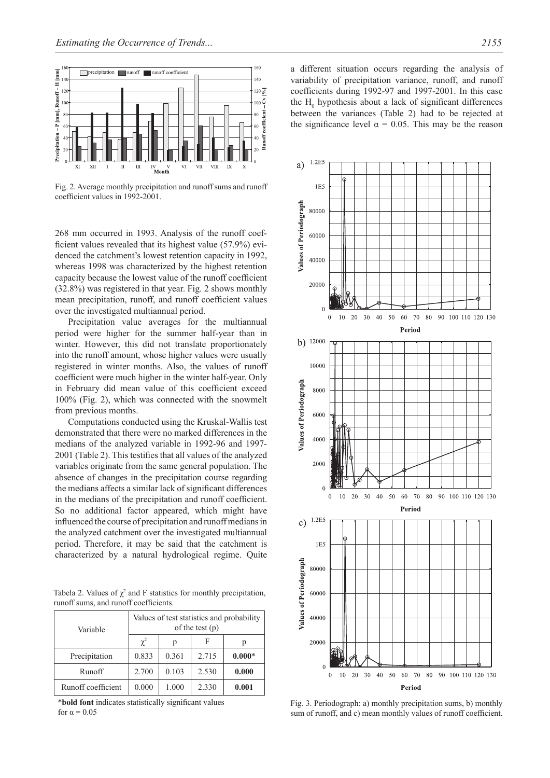

Fig. 2. Average monthly precipitation and runoff sums and runoff coefficient values in 1992-2001.

268 mm occurred in 1993. Analysis of the runoff coefficient values revealed that its highest value (57.9%) evidenced the catchment's lowest retention capacity in 1992, whereas 1998 was characterized by the highest retention capacity because the lowest value of the runoff coefficient (32.8%) was registered in that year. Fig. 2 shows monthly mean precipitation, runoff, and runoff coefficient values over the investigated multiannual period.

Precipitation value averages for the multiannual period were higher for the summer half-year than in winter. However, this did not translate proportionately into the runoff amount, whose higher values were usually registered in winter months. Also, the values of runoff coefficient were much higher in the winter half-year. Only in February did mean value of this coefficient exceed 100% (Fig. 2), which was connected with the snowmelt from previous months.

Computations conducted using the Kruskal-Wallis test demonstrated that there were no marked differences in the medians of the analyzed variable in 1992-96 and 1997- 2001 (Table 2). This testifies that all values of the analyzed variables originate from the same general population. The absence of changes in the precipitation course regarding the medians affects a similar lack of significant differences in the medians of the precipitation and runoff coefficient. So no additional factor appeared, which might have influenced the course of precipitation and runoff medians in the analyzed catchment over the investigated multiannual period. Therefore, it may be said that the catchment is characterized by a natural hydrological regime. Quite

Tabela 2. Values of  $\chi^2$  and F statistics for monthly precipitation, runoff sums, and runoff coefficients.

| Variable           | Values of test statistics and probability<br>of the test $(p)$ |       |       |          |  |  |
|--------------------|----------------------------------------------------------------|-------|-------|----------|--|--|
|                    | $\chi^2$                                                       | D     | F     |          |  |  |
| Precipitation      | 0.833                                                          | 0.361 | 2.715 | $0.000*$ |  |  |
| Runoff             | 2.700                                                          | 0.103 | 2.530 | 0.000    |  |  |
| Runoff coefficient | 0.000                                                          | 1.000 | 2.330 | 0.001    |  |  |

\***bold font** indicates statistically significant values for  $\alpha = 0.05$ 

a different situation occurs regarding the analysis of variability of precipitation variance, runoff, and runoff coefficients during 1992-97 and 1997-2001. In this case the  $H_0$  hypothesis about a lack of significant differences between the variances (Table 2) had to be rejected at the significance level  $\alpha = 0.05$ . This may be the reason



Fig. 3. Periodograph: a) monthly precipitation sums, b) monthly sum of runoff, and c) mean monthly values frunoff coefficient.

a) and a set of the set of the set of the set of the set of the set of the set of the set of the set of the se

contract the contract of the contract of the contract of the contract of the contract of the contract of the contract of the contract of the contract of the contract of the contract of the contract of the contract of the c

 $\overline{1}$ 

 $\overline{1}$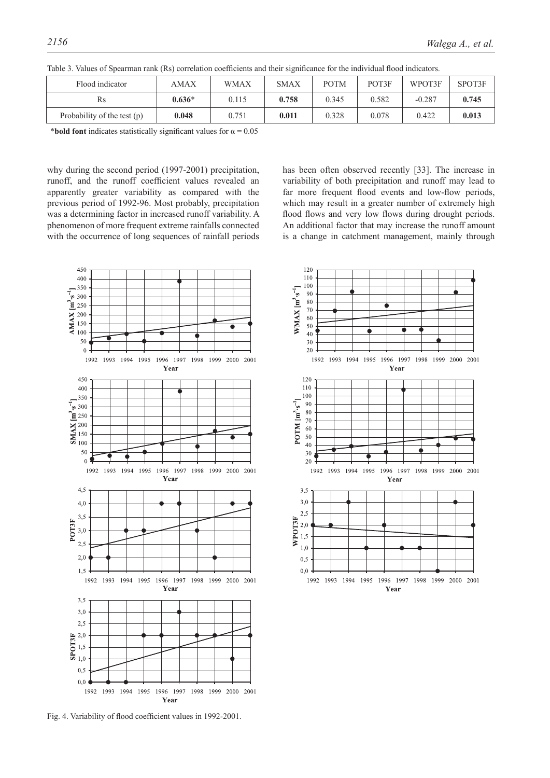| Flood indicator               | <b>AMAX</b> | <b>WMAX</b> | <b>SMAX</b> | <b>POTM</b> | POT3F | WPOT3F   | SPOT3F |
|-------------------------------|-------------|-------------|-------------|-------------|-------|----------|--------|
| Rs                            | $0.636*$    | 0.115       | 0.758       | 0.345       | 0.582 | $-0.287$ | 0.745  |
| Probability of the test $(p)$ | 0.048       | 0.751       | 0.011       | 0.328       | 0.078 | 0.422    | 0.013  |

Table 3. Values of Spearman rank (Rs) correlation coefficients and their significance for the individual flood indicators.

\***bold font** indicates statistically significant values for  $\alpha = 0.05$ 

why during the second period (1997-2001) precipitation, runoff, and the runoff coefficient values revealed an apparently greater variability as compared with the previous period of 1992-96. Most probably, precipitation was a determining factor in increased runoff variability. A phenomenon of more frequent extreme rainfalls connected with the occurrence of long sequences of rainfall periods has been often observed recently [33]. The increase in variability of both precipitation and runoff may lead to far more frequent flood events and low-flow periods, which may result in a greater number of extremely high flood flows and very low flows during drought periods. An additional factor that may increase the runoff amount is a change in catchment management, mainly through



Fig. 4. Variability of flood coefficient values in 1992-2001.

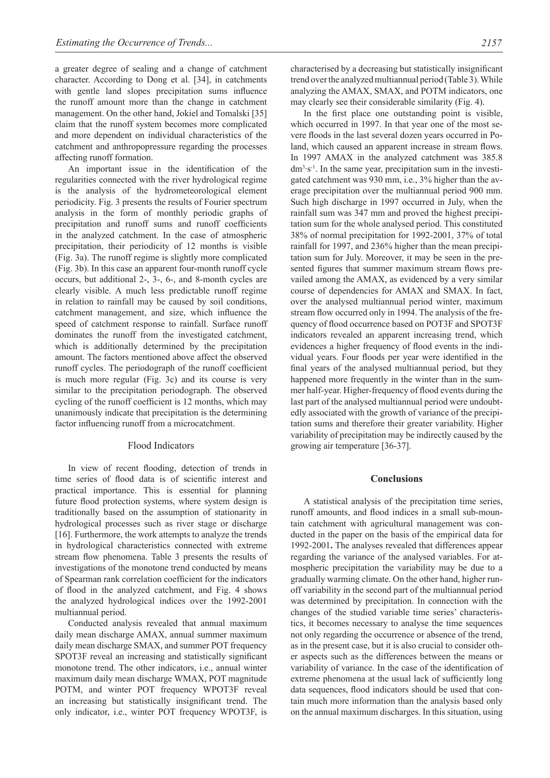a greater degree of sealing and a change of catchment character. According to Dong et al. [34], in catchments with gentle land slopes precipitation sums influence the runoff amount more than the change in catchment management. On the other hand, Jokiel and Tomalski [35] claim that the runoff system becomes more complicated and more dependent on individual characteristics of the catchment and anthropopressure regarding the processes affecting runoff formation.

An important issue in the identification of the regularities connected with the river hydrological regime is the analysis of the hydrometeorological element periodicity. Fig. 3 presents the results of Fourier spectrum analysis in the form of monthly periodic graphs of precipitation and runoff sums and runoff coefficients in the analyzed catchment. In the case of atmospheric precipitation, their periodicity of 12 months is visible (Fig. 3a). The runoff regime is slightly more complicated (Fig. 3b). In this case an apparent four-month runoff cycle occurs, but additional 2-, 3-, 6-, and 8-month cycles are clearly visible. A much less predictable runoff regime in relation to rainfall may be caused by soil conditions, catchment management, and size, which influence the speed of catchment response to rainfall. Surface runoff dominates the runoff from the investigated catchment, which is additionally determined by the precipitation amount. The factors mentioned above affect the observed runoff cycles. The periodograph of the runoff coefficient is much more regular (Fig. 3c) and its course is very similar to the precipitation periodograph. The observed cycling of the runoff coefficient is 12 months, which may unanimously indicate that precipitation is the determining factor influencing runoff from a microcatchment.

#### Flood Indicators

In view of recent flooding, detection of trends in time series of flood data is of scientific interest and practical importance. This is essential for planning future flood protection systems, where system design is traditionally based on the assumption of stationarity in hydrological processes such as river stage or discharge [16]. Furthermore, the work attempts to analyze the trends in hydrological characteristics connected with extreme stream flow phenomena. Table 3 presents the results of investigations of the monotone trend conducted by means of Spearman rank correlation coefficient for the indicators of flood in the analyzed catchment, and Fig. 4 shows the analyzed hydrological indices over the 1992-2001 multiannual period.

Conducted analysis revealed that annual maximum daily mean discharge AMAX, annual summer maximum daily mean discharge SMAX, and summer POT frequency SPOT3F reveal an increasing and statistically significant monotone trend. The other indicators, i.e., annual winter maximum daily mean discharge WMAX, POT magnitude POTM, and winter POT frequency WPOT3F reveal an increasing but statistically insignificant trend. The only indicator, i.e., winter POT frequency WPOT3F, is characterised by a decreasing but statistically insignificant trend over the analyzed multiannual period (Table 3). While analyzing the AMAX, SMAX, and POTM indicators, one may clearly see their considerable similarity (Fig. 4).

In the first place one outstanding point is visible, which occurred in 1997. In that year one of the most severe floods in the last several dozen years occurred in Poland, which caused an apparent increase in stream flows. In 1997 AMAX in the analyzed catchment was 385.8 dm3 ·s-1. In the same year, precipitation sum in the investigated catchment was 930 mm, i.e., 3% higher than the average precipitation over the multiannual period 900 mm. Such high discharge in 1997 occurred in July, when the rainfall sum was 347 mm and proved the highest precipitation sum for the whole analysed period. This constituted 38% of normal precipitation for 1992-2001, 37% of total rainfall for 1997, and 236% higher than the mean precipitation sum for July. Moreover, it may be seen in the presented figures that summer maximum stream flows prevailed among the AMAX, as evidenced by a very similar course of dependencies for AMAX and SMAX. In fact, over the analysed multiannual period winter, maximum stream flow occurred only in 1994. The analysis of the frequency of flood occurrence based on POT3F and SPOT3F indicators revealed an apparent increasing trend, which evidences a higher frequency of flood events in the individual years. Four floods per year were identified in the final years of the analysed multiannual period, but they happened more frequently in the winter than in the summer half-year. Higher-frequency of flood events during the last part of the analysed multiannual period were undoubtedly associated with the growth of variance of the precipitation sums and therefore their greater variability. Higher variability of precipitation may be indirectly caused by the growing air temperature [36-37].

#### **Conclusions**

A statistical analysis of the precipitation time series, runoff amounts, and flood indices in a small sub-mountain catchment with agricultural management was conducted in the paper on the basis of the empirical data for 1992-2001**.** The analyses revealed that differences appear regarding the variance of the analysed variables. For atmospheric precipitation the variability may be due to a gradually warming climate. On the other hand, higher runoff variability in the second part of the multiannual period was determined by precipitation. In connection with the changes of the studied variable time series' characteristics, it becomes necessary to analyse the time sequences not only regarding the occurrence or absence of the trend, as in the present case, but it is also crucial to consider other aspects such as the differences between the means or variability of variance. In the case of the identification of extreme phenomena at the usual lack of sufficiently long data sequences, flood indicators should be used that contain much more information than the analysis based only on the annual maximum discharges. In this situation, using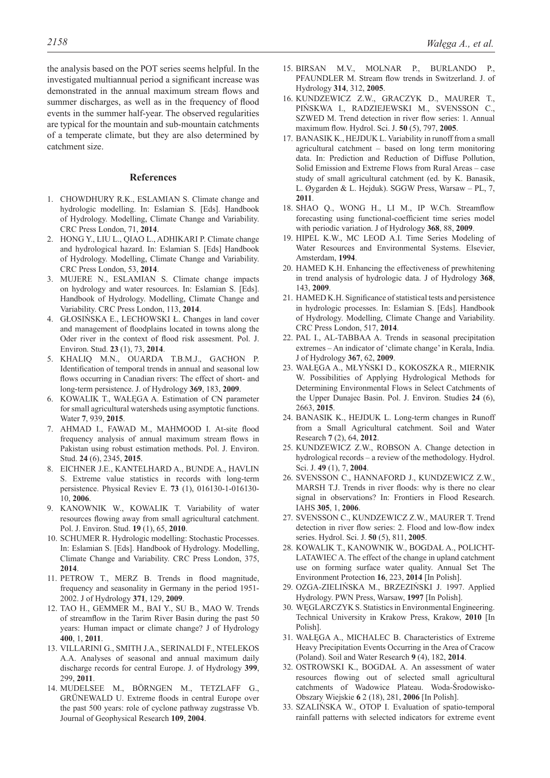the analysis based on the POT series seems helpful. In the investigated multiannual period a significant increase was demonstrated in the annual maximum stream flows and summer discharges, as well as in the frequency of flood events in the summer half-year. The observed regularities are typical for the mountain and sub-mountain catchments of a temperate climate, but they are also determined by catchment size.

## **References**

- 1. CHOWDHURY R.K., ESLAMIAN S. Climate change and hydrologic modelling. In: Eslamian S. [Eds]. Handbook of Hydrology. Modelling, Climate Change and Variability. CRC Press London, 71, **2014**.
- 2. HONG Y., LIU L., QIAO L., ADHIKARI P. Climate change and hydrological hazard. In: Eslamian S. [Eds] Handbook of Hydrology. Modelling, Climate Change and Variability. CRC Press London, 53, **2014**.
- 3. MUJERE N., ESLAMIAN S. Climate change impacts on hydrology and water resources. In: Eslamian S. [Eds]. Handbook of Hydrology. Modelling, Climate Change and Variability. CRC Press London, 113, **2014**.
- 4. GŁOSIŃSKA E., LECHOWSKI Ł. Changes in land cover and management of floodplains located in towns along the Oder river in the context of flood risk assesment. Pol. J. Environ. Stud. **23** (1), 73, **2014**.
- 5. KHALIQ M.N., OUARDA T.B.M.J., GACHON P. Identification of temporal trends in annual and seasonal low flows occurring in Canadian rivers: The effect of short- and long-term persistence. J. of Hydrology **369**, 183, **2009**.
- 6. KOWALIK T., WAŁĘGA A. Estimation of CN parameter for small agricultural watersheds using asymptotic functions. Water **7**, 939, **2015**.
- 7. AHMAD I., FAWAD M., MAHMOOD I. At-site flood frequency analysis of annual maximum stream flows in Pakistan using robust estimation methods. Pol. J. Environ. Stud. **24** (6), 2345, **2015**.
- 8. EICHNER J.E., KANTELHARD A., BUNDE A., HAVLIN S. Extreme value statistics in records with long-term persistence. Physical Reviev E. **73** (1), 016130-1-016130- 10, **2006**.
- 9. KANOWNIK W., KOWALIK T. Variability of water resources flowing away from small agricultural catchment. Pol. J. Environ. Stud. **19** (1), 65, **2010**.
- 10. SCHUMER R. Hydrologic modelling: Stochastic Processes. In: Eslamian S. [Eds]. Handbook of Hydrology. Modelling, Climate Change and Variability. CRC Press London, 375, **2014**.
- 11. PETROW T., MERZ B. Trends in flood magnitude, frequency and seasonality in Germany in the period 1951- 2002. J of Hydrology **371**, 129, **2009**.
- 12. TAO H., GEMMER M., BAI Y., SU B., MAO W. Trends of streamflow in the Tarim River Basin during the past 50 years: Human impact or climate change? J of Hydrology **400**, 1, **2011**.
- 13. VILLARINI G., SMITH J.A., SERINALDI F., NTELEKOS A.A. Analyses of seasonal and annual maximum daily discharge records for central Europe. J. of Hydrology **399**, 299, **2011**.
- 14. MUDELSEE M., BÖRNGEN M., TETZLAFF G., GRÜNEWALD U. Extreme floods in central Europe over the past 500 years: role of cyclone pathway zugstrasse Vb. Journal of Geophysical Research **109**, **2004**.
- 15. BIRSAN M.V., MOLNAR P., BURLANDO P., PFAUNDLER M. Stream flow trends in Switzerland. J. of Hydrology **314**, 312, **2005**.
- 16. KUNDZEWICZ Z.W., GRACZYK D., MAURER T., PIŃSKWA I., RADZIEJEWSKI M., SVENSSON C., SZWED M. Trend detection in river flow series: 1. Annual maximum flow. Hydrol. Sci. J. **50** (5), 797, **2005**.
- 17. BANASIK K., HEJDUK L. Variability in runoff from a small agricultural catchment – based on long term monitoring data. In: Prediction and Reduction of Diffuse Pollution, Solid Emission and Extreme Flows from Rural Areas – case study of small agricultural catchment (ed. by K. Banasik, L. Øygarden & L. Hejduk). SGGW Press, Warsaw – PL, 7, **2011**.
- 18. SHAO Q., WONG H., LI M., IP W.Ch. Streamflow forecasting using functional-coefficient time series model with periodic variation. J of Hydrology **368**, 88, **2009**.
- 19. HIPEL K.W., MC LEOD A.I. Time Series Modeling of Water Resources and Environmental Systems. Elsevier, Amsterdam, **1994**.
- 20. HAMED K.H. Enhancing the effectiveness of prewhitening in trend analysis of hydrologic data. J of Hydrology **368**, 143, **2009**.
- 21. HAMED K.H. Significance of statistical tests and persistence in hydrologic processes. In: Eslamian S. [Eds]. Handbook of Hydrology. Modelling, Climate Change and Variability. CRC Press London, 517, **2014**.
- 22. PAL I., AL-TABBAA A. Trends in seasonal precipitation extremes – An indicator of 'climate change' in Kerala, India. J of Hydrology **367**, 62, **2009**.
- 23. WAŁĘGA A., MŁYŃSKI D., KOKOSZKA R., MIERNIK W. Possibilities of Applying Hydrological Methods for Determining Environmental Flows in Select Catchments of the Upper Dunajec Basin. Pol. J. Environ. Studies **24** (6), 2663, **2015**.
- 24. BANASIK K., HEJDUK L. Long-term changes in Runoff from a Small Agricultural catchment. Soil and Water Research **7** (2), 64, **2012**.
- 25. KUNDZEWICZ Z.W., ROBSON A. Change detection in hydrological records – a review of the methodology. Hydrol. Sci. J. **49** (1), 7, **2004**.
- 26. SVENSSON C., HANNAFORD J., KUNDZEWICZ Z.W., MARSH T.J. Trends in river floods: why is there no clear signal in observations? In: Frontiers in Flood Research. IAHS **305**, 1, **2006**.
- 27. SVENSSON C., KUNDZEWICZ Z.W., MAURER T. Trend detection in river flow series: 2. Flood and low-flow index series. Hydrol. Sci. J. **50** (5), 811, **2005**.
- 28. KOWALIK T., KANOWNIK W., BOGDAŁ A., POLICHT-LATAWIEC A. The effect of the change in upland catchment use on forming surface water quality. Annual Set The Environment Protection **16**, 223, **2014** [In Polish].
- 29. OZGA-ZIELIŃSKA M., BRZEZIŃSKI J. 1997. Applied Hydrology. PWN Press, Warsaw, **1997** [In Polish].
- 30. WĘGLARCZYK S. Statistics in Environmental Engineering. Technical University in Krakow Press, Krakow, **2010** [In Polish].
- 31. WAŁĘGA A., MICHALEC B. Characteristics of Extreme Heavy Precipitation Events Occurring in the Area of Cracow (Poland). Soil and Water Research **9** (4), 182, **2014**.
- 32. OSTROWSKI K., BOGDAŁ A. An assessment of water resources flowing out of selected small agricultural catchments of Wadowice Plateau. Woda-Środowisko-Obszary Wiejskie **6** 2 (18), 281, **2006** [In Polish].
- 33. SZALIŃSKA W., OTOP I. Evaluation of spatio-temporal rainfall patterns with selected indicators for extreme event